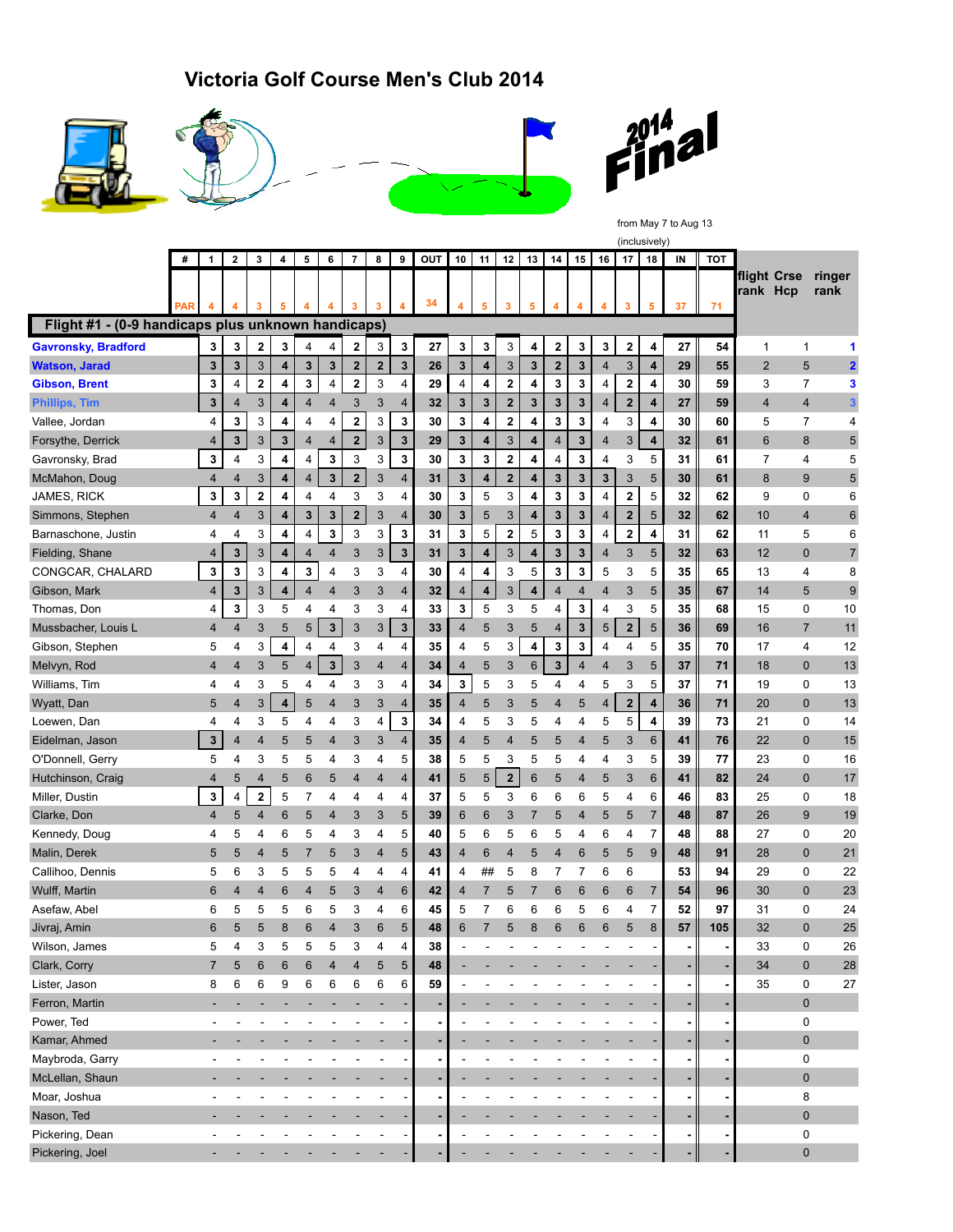## **Victoria Golf Course Men's Club 2014**









from May 7 to Aug 13

|                                                    |            | (inclusively) |                |                         |   |        |                         |                         |                     |                |          |                         |        |                              |                         |                               |        |                         |                         |                |    |            |                         |                     |                         |
|----------------------------------------------------|------------|---------------|----------------|-------------------------|---|--------|-------------------------|-------------------------|---------------------|----------------|----------|-------------------------|--------|------------------------------|-------------------------|-------------------------------|--------|-------------------------|-------------------------|----------------|----|------------|-------------------------|---------------------|-------------------------|
|                                                    |            | 1             | $\mathbf{2}$   | 3                       | 4 | 5      | 6                       | $\overline{7}$          | 8                   | 9              | OUT      | 10                      | 11     | 12                           | 13                      | 14                            | 15     | 16                      | 17                      | 18             | IN | <b>TOT</b> |                         |                     |                         |
|                                                    |            |               | 4              | 3                       | 5 | 4      | 4                       | 3                       | 3                   | 4              | 34       | 4                       | 5      |                              |                         |                               | 4      | 4                       | $\overline{\mathbf{3}}$ | 5              | 37 | 71         | flight Crse<br>rank Hcp |                     | ringer<br>rank          |
| Flight #1 - (0-9 handicaps plus unknown handicaps) | <b>PAR</b> |               |                |                         |   |        |                         |                         |                     |                |          |                         |        | 3                            | 5                       | 4                             |        |                         |                         |                |    |            |                         |                     |                         |
|                                                    |            |               |                |                         |   |        |                         |                         |                     |                |          |                         |        |                              |                         |                               |        |                         |                         |                |    |            |                         |                     |                         |
| <b>Gavronsky, Bradford</b><br><b>Watson, Jarad</b> |            | 3             | 3<br>3         | $\mathbf 2$<br>3        | 3 | 4      | 4<br>$\mathbf 3$        | 2                       | 3<br>$\overline{2}$ | 3<br>3         | 27       | 3<br>3                  | 3<br>4 | 3                            | 4<br>$\mathbf{3}$       | $\mathbf 2$<br>$\overline{2}$ | 3<br>3 | 3                       | $\boldsymbol{2}$<br>3   | 4              | 27 | 54         | 1                       | 1                   | 1                       |
|                                                    |            | 3             |                | $\bf 2$                 | 4 | 3<br>3 | $\overline{\mathbf{4}}$ | $\mathbf 2$             | 3                   |                | 26<br>29 | $\overline{\mathbf{4}}$ | 4      | 3<br>$\overline{\mathbf{2}}$ | 4                       | 3                             | 3      | $\overline{\mathbf{4}}$ | $\overline{\mathbf{2}}$ | 4              | 29 | 55<br>59   | $\overline{2}$<br>3     | 5<br>$\overline{7}$ | $\overline{\mathbf{2}}$ |
| <b>Gibson, Brent</b>                               |            | 3             | 4              |                         | 4 |        |                         | $\mathbf 2$             |                     | 4              |          |                         |        |                              |                         |                               |        | 4                       | $\overline{2}$          | 4              | 30 |            |                         |                     | 3                       |
| <b>Phillips, Tim</b>                               |            | 3             | $\overline{4}$ | 3                       | 4 | 4      | 4                       | 3                       | 3                   | 4              | 32       | 3                       | 3      | $\mathbf{2}$                 | $\mathbf{3}$            | $\mathbf{3}$                  | 3      | $\overline{4}$          |                         | 4              | 27 | 59         | 4                       | 4                   | 3                       |
| Vallee, Jordan                                     |            | 4             | 3              | 3                       | 4 | 4      | 4                       | 2                       | 3                   | 3              | 30       | 3                       | 4      | $\mathbf 2$                  | 4                       | 3                             | 3      | 4                       | 3                       | 4              | 30 | 60         | 5                       | 7                   | 4                       |
| Forsythe, Derrick                                  |            | 4             | 3              | $\sqrt{3}$              | 3 | 4      | $\overline{4}$          | $\mathbf 2$             | 3                   | 3              | 29       | 3                       | 4      | 3                            | $\overline{\mathbf{4}}$ | $\overline{4}$                | 3      | 4                       | $\sqrt{3}$              | 4              | 32 | 61         | 6                       | 8                   | 5                       |
| Gavronsky, Brad                                    |            | 3             | 4              | 3                       | 4 | 4      | 3                       | 3                       | 3                   | 3              | 30       | 3                       | 3      | $\mathbf 2$                  | 4                       | 4                             | 3      | 4                       | 3                       | 5              | 31 | 61         | 7                       | 4                   | 5                       |
| McMahon, Doug                                      |            | 4             | $\overline{4}$ | 3                       | 4 | 4      | 3                       | $\overline{\mathbf{2}}$ | 3                   | 4              | 31       | 3                       | 4      | $\overline{2}$               | 4                       | 3                             | 3      | 3                       | 3                       | 5              | 30 | 61         | 8                       | 9                   | 5                       |
| JAMES, RICK                                        |            | 3             | 3              | $\overline{\mathbf{2}}$ | 4 | 4      | 4                       | 3                       | 3                   | 4              | 30       | 3                       | 5      | 3                            | 4                       | 3                             | 3      | 4                       | $\mathbf 2$             | 5              | 32 | 62         | 9                       | 0                   | 6                       |
| Simmons, Stephen                                   |            | 4             | $\overline{4}$ | 3                       | 4 | 3      | $\mathbf{3}$            | $\mathbf 2$             | 3                   | 4              | 30       | 3                       | 5      | 3                            | $\overline{\mathbf{4}}$ | 3                             | 3      | 4                       | $\overline{2}$          | 5              | 32 | 62         | 10                      | 4                   | 6                       |
| Barnaschone, Justin                                |            | 4             | 4              | 3                       | 4 | 4      | 3                       | 3                       | 3                   | 3              | 31       | 3                       | 5      | $\overline{\mathbf{2}}$      | 5                       | 3                             | 3      | 4                       | $\bf 2$                 | 4              | 31 | 62         | 11                      | 5                   | 6                       |
| Fielding, Shane                                    |            | 4             | 3              | 3                       | 4 | 4      | 4                       | 3                       | 3                   | 3              | 31       | 3                       | 4      | 3                            | 4                       | 3                             | 3      | 4                       | 3                       | 5              | 32 | 63         | 12                      | $\mathbf 0$         | $\overline{7}$          |
| CONGCAR, CHALARD                                   |            | 3             | 3              | 3                       | 4 | 3      | 4                       | 3                       | 3                   | 4              | 30       | $\overline{\mathbf{4}}$ | 4      | 3                            | 5                       | 3                             | 3      | 5                       | 3                       | 5              | 35 | 65         | 13                      | 4                   | 8                       |
| Gibson, Mark                                       |            | 4             | $\mathbf{3}$   | 3                       | 4 | 4      | 4                       | 3                       | 3                   | 4              | 32       | 4                       | 4      | 3                            | 4                       | $\overline{4}$                | 4      | 4                       | 3                       | 5              | 35 | 67         | 14                      | 5                   | 9                       |
| Thomas, Don                                        |            | 4             | 3              | 3                       | 5 | 4      | 4                       | 3                       | 3                   | 4              | 33       | 3                       | 5      | 3                            | 5                       | 4                             | 3      | 4                       | 3                       | 5              | 35 | 68         | 15                      | 0                   | 10                      |
| Mussbacher, Louis L                                |            | 4             | 4              | 3                       | 5 | 5      | $\mathbf 3$             | 3                       | 3                   | 3              | 33       | $\overline{4}$          | 5      | 3                            | 5                       | 4                             | 3      | 5                       | $\mathbf{2}$            | 5              | 36 | 69         | 16                      | $\overline{7}$      | 11                      |
| Gibson, Stephen                                    |            | 5             | 4              | 3                       | 4 | 4      | 4                       | 3                       | 4                   | 4              | 35       | 4                       | 5      | 3                            | 4                       | 3                             | 3      | 4                       | 4                       | 5              | 35 | 70         | 17                      | 4                   | 12                      |
| Melvyn, Rod                                        |            | 4             | 4              | 3                       | 5 | 4      | $\mathbf 3$             | 3                       | 4                   | 4              | 34       | 4                       | 5      | 3                            | 6                       | 3                             | 4      | 4                       | 3                       | 5              | 37 | 71         | 18                      | $\mathbf 0$         | 13                      |
| Williams, Tim                                      |            | 4             | 4              | 3                       | 5 | 4      | 4                       | 3                       | 3                   | 4              | 34       | 3                       | 5      | 3                            | 5                       | 4                             | 4      | 5                       | 3                       | 5              | 37 | 71         | 19                      | 0                   | 13                      |
| Wyatt, Dan                                         |            | 5             | 4              | 3                       | 4 | 5      | $\overline{4}$          | 3                       | 3                   | 4              | 35       | $\overline{4}$          | 5      | 3                            | 5                       | 4                             | 5      | 4                       | $\mathbf 2$             | 4              | 36 | 71         | 20                      | $\mathbf 0$         | 13                      |
| Loewen, Dan                                        |            | 4             | 4              | 3                       | 5 | 4      | 4                       | 3                       | 4                   | 3              | 34       | 4                       | 5      | 3                            | 5                       | 4                             | 4      | 5                       | 5                       | 4              | 39 | 73         | 21                      | 0                   | 14                      |
| Eidelman, Jason                                    |            | 3             | $\overline{4}$ | 4                       | 5 | 5      | $\overline{4}$          | 3                       | 3                   | 4              | 35       | 4                       | 5      | $\overline{4}$               | 5                       | 5                             | 4      | 5                       | 3                       | 6              | 41 | 76         | 22                      | $\mathbf 0$         | 15                      |
| O'Donnell, Gerry                                   |            | 5             | 4              | 3                       | 5 | 5      | 4                       | 3                       | 4                   | 5              | 38       | 5                       | 5      | 3                            | 5                       | 5                             | 4      | 4                       | 3                       | 5              | 39 | 77         | 23                      | 0                   | 16                      |
| Hutchinson, Craig                                  |            | 4             | 5              | $\overline{4}$          | 5 | 6      | 5                       | 4                       | 4                   | 4              | 41       | 5                       | 5      | $\mathbf 2$                  | 6                       | 5                             | 4      | 5                       | 3                       | 6              | 41 | 82         | 24                      | $\mathbf 0$         | 17                      |
| Miller, Dustin                                     |            | 3             | 4              | 2                       | 5 | 7      | 4                       | 4                       | 4                   | 4              | 37       | 5                       | 5      | 3                            | 6                       | 6                             | 6      | 5                       | 4                       | 6              | 46 | 83         | 25                      | 0                   | 18                      |
| Clarke, Don                                        |            | 4             | 5              | $\overline{4}$          | 6 | 5      | 4                       | 3                       | 3                   | 5              | 39       | 6                       | 6      | 3                            | 7                       | 5                             | 4      | 5                       | 5                       | $\overline{7}$ | 48 | 87         | 26                      | 9                   | 19                      |
| Kennedy, Doug                                      |            | 4             | 5              | 4                       | 6 | 5      | 4                       | 3                       | 4                   | 5              | 40       | 5                       | 6      | 5                            | 6                       | 5                             | 4      | 6                       | 4                       | $\overline{7}$ | 48 | 88         | 27                      | 0                   | 20                      |
| Malin, Derek                                       |            | 5             | 5              | $\overline{4}$          | 5 | 7      | 5                       | 3                       | 4                   | 5              | 43       | 4                       | 6      | $\overline{4}$               | 5                       | $\overline{4}$                | 6      | 5                       | 5                       | 9              | 48 | 91         | 28                      | $\mathbf 0$         | 21                      |
| Callihoo, Dennis                                   |            | 5             | 6              | 3                       | 5 | 5      | 5                       | 4                       | 4                   | 4              | 41       | 4                       | ##     | 5                            | 8                       | 7                             | 7      | 6                       | 6                       |                | 53 | 94         | 29                      | 0                   | 22                      |
| Wulff, Martin                                      |            | 6             | 4              | $\overline{4}$          | 6 | 4      | 5                       | 3                       | $\overline{4}$      | 6              | 42       | 4                       | 7      | 5                            | 7                       | 6                             | 6      | 6                       | 6                       | $\overline{7}$ | 54 | 96         | 30                      | $\mathbf 0$         | 23                      |
| Asefaw, Abel                                       |            | 6             | 5              | 5                       | 5 | 6      | 5                       | 3                       | 4                   | 6              | 45       | 5                       | 7      | 6                            | 6                       | 6                             | 5      | 6                       | 4                       | 7              | 52 | 97         | 31                      | 0                   | 24                      |
| Jivraj, Amin                                       |            | 6             | 5              | 5                       | 8 | 6      | 4                       | 3                       | 6                   | 5              | 48       | 6                       | 7      | 5                            | 8                       | 6                             | 6      | 6                       | 5                       | 8              | 57 | 105        | 32                      | $\Omega$            | 25                      |
| Wilson, James                                      |            | 5             | 4              | 3                       | 5 | 5      | 5                       | 3                       | 4                   | 4              | 38       |                         |        |                              |                         |                               |        |                         |                         |                |    |            | 33                      | 0                   | 26                      |
| Clark, Corry                                       |            | 7             | 5              | 6                       | 6 | 6      | $\overline{4}$          | 4                       | 5                   | $\overline{5}$ | 48       |                         |        |                              |                         |                               |        |                         |                         |                |    |            | 34                      | $\pmb{0}$           | 28                      |
| Lister, Jason                                      |            | 8             | 6              | 6                       | 9 | 6      | 6                       | 6                       | 6                   | 6              | 59       |                         |        |                              |                         |                               |        |                         |                         |                |    |            | 35                      | 0                   | 27                      |
| Ferron, Martin                                     |            |               |                |                         |   |        |                         |                         |                     |                |          |                         |        |                              |                         |                               |        |                         |                         |                |    |            |                         | $\pmb{0}$           |                         |
| Power, Ted                                         |            |               |                |                         |   |        |                         |                         |                     |                |          |                         |        |                              |                         |                               |        |                         |                         |                |    |            |                         | 0                   |                         |
| Kamar, Ahmed                                       |            |               |                |                         |   |        |                         |                         |                     |                |          |                         |        |                              |                         |                               |        |                         |                         |                |    |            |                         | $\pmb{0}$           |                         |
| Maybroda, Garry                                    |            |               |                |                         |   |        |                         |                         |                     |                |          |                         |        |                              |                         |                               |        |                         |                         |                |    |            |                         | 0                   |                         |
| McLellan, Shaun                                    |            |               |                |                         |   |        |                         |                         |                     |                |          |                         |        |                              |                         |                               |        |                         |                         |                |    |            |                         | $\pmb{0}$           |                         |
| Moar, Joshua                                       |            |               |                |                         |   |        |                         |                         |                     |                |          |                         |        |                              |                         |                               |        |                         |                         |                |    |            |                         | 8                   |                         |
| Nason, Ted                                         |            |               |                |                         |   |        |                         |                         |                     |                |          |                         |        |                              |                         |                               |        |                         |                         |                |    |            |                         | $\pmb{0}$           |                         |
| Pickering, Dean                                    |            |               |                |                         |   |        |                         |                         |                     |                |          |                         |        |                              |                         |                               |        |                         |                         |                |    |            |                         | $\pmb{0}$           |                         |
| Pickering, Joel                                    |            |               |                |                         |   |        |                         |                         |                     |                |          |                         |        |                              |                         |                               |        |                         |                         |                |    |            |                         | $\mathbf 0$         |                         |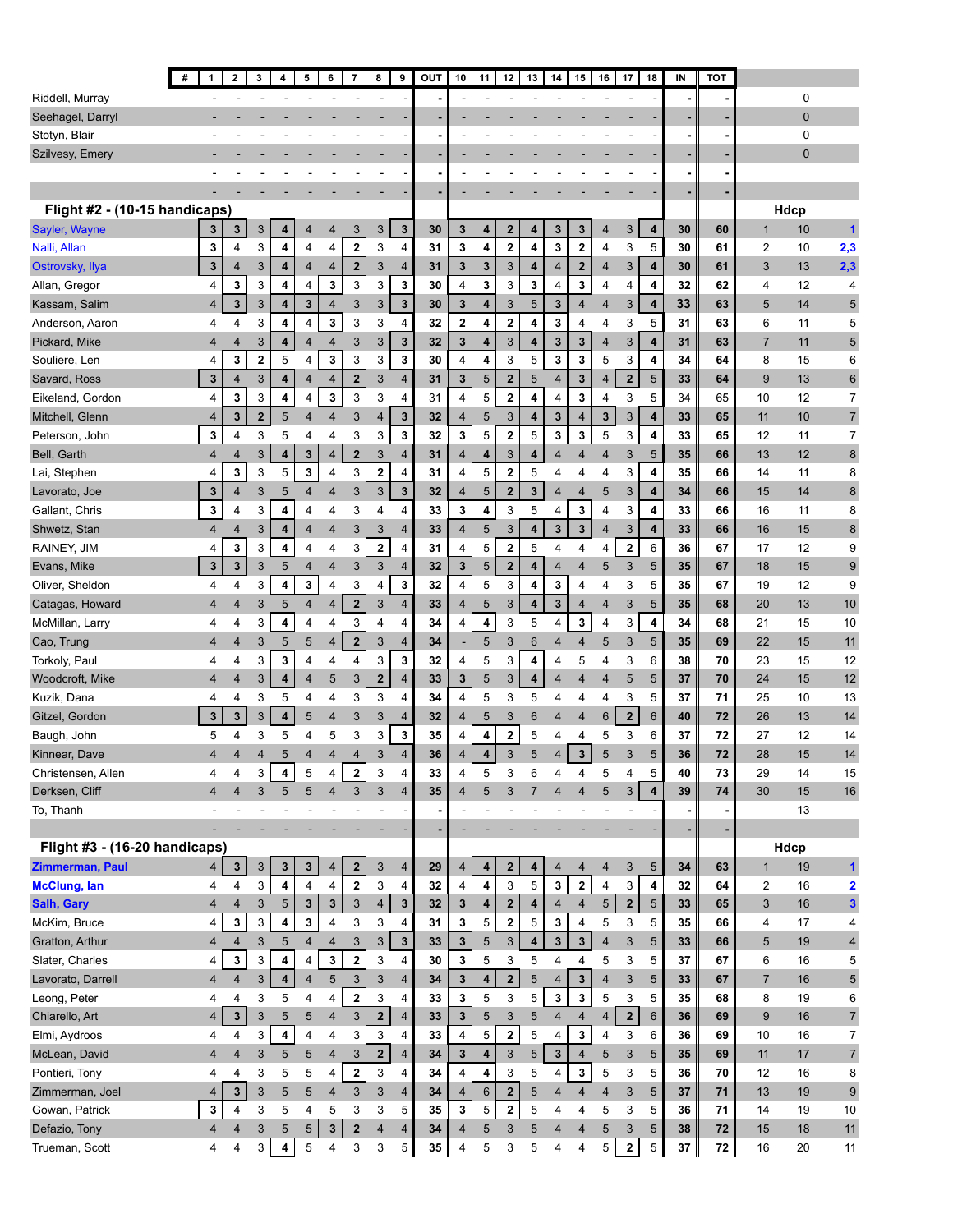|                                      | #<br>1                   | $\overline{\mathbf{2}}$ | 3            | 4                   | 5                            | 6                       | $\overline{7}$          | 8                       | 9                       | <b>OUT</b> | 10                  | 11                      | 12                      | 13                  | 14                      | 15                      | 16                      | 17                      | 18                           | IN       | <b>TOT</b>       |                  |          |                         |
|--------------------------------------|--------------------------|-------------------------|--------------|---------------------|------------------------------|-------------------------|-------------------------|-------------------------|-------------------------|------------|---------------------|-------------------------|-------------------------|---------------------|-------------------------|-------------------------|-------------------------|-------------------------|------------------------------|----------|------------------|------------------|----------|-------------------------|
| Riddell, Murray                      |                          |                         |              |                     |                              |                         |                         |                         |                         |            |                     |                         |                         |                     |                         |                         |                         |                         |                              |          |                  |                  | 0        |                         |
| Seehagel, Darryl                     |                          |                         |              |                     |                              |                         |                         |                         |                         |            |                     |                         |                         |                     |                         |                         |                         |                         |                              |          |                  |                  | 0        |                         |
| Stotyn, Blair                        |                          |                         |              |                     |                              |                         |                         |                         |                         |            |                     |                         |                         |                     |                         |                         |                         |                         |                              |          |                  |                  | 0        |                         |
| Szilvesy, Emery                      |                          |                         |              |                     |                              |                         |                         |                         |                         |            |                     |                         |                         |                     |                         |                         |                         |                         |                              |          |                  |                  | 0        |                         |
|                                      |                          |                         |              |                     |                              |                         |                         |                         |                         |            |                     |                         |                         |                     |                         |                         |                         |                         |                              |          |                  |                  |          |                         |
|                                      |                          |                         |              |                     |                              |                         |                         |                         |                         |            |                     |                         |                         |                     |                         |                         |                         |                         |                              |          |                  |                  |          |                         |
| Flight #2 - (10-15 handicaps)        |                          |                         |              |                     |                              |                         |                         |                         |                         |            |                     |                         |                         |                     |                         |                         |                         |                         |                              |          |                  |                  | Hdcp     |                         |
| Sayler, Wayne                        | 3                        | 3                       | 3            | 4                   | 4                            | $\overline{4}$          | 3                       | 3                       | $\mathbf 3$             | 30         | 3                   | 4                       | $\mathbf{2}$            | 4                   | 3                       | 3                       | 4                       | 3                       | 4                            | 30       | 60               | $\mathbf{1}$     | 10       | 1                       |
| Nalli, Allan                         | 3                        | 4                       | 3            | 4                   | 4                            | 4                       | $\mathbf 2$             | 3                       | 4                       | 31         | 3                   | 4                       | $\overline{\mathbf{2}}$ | 4                   | 3                       | 2                       | 4                       | 3                       | 5                            | 30       | 61               | $\overline{2}$   | 10       | 2,3                     |
| Ostrovsky, Ilya                      | 3                        | 4                       | 3            | 4                   | 4                            | 4                       | $\overline{\mathbf{2}}$ | 3                       | 4                       | 31         | 3                   | 3                       | 3                       | 4                   | 4                       | $\mathbf 2$             | 4                       | 3                       | 4                            | 30       | 61               | 3                | 13       | 2,3                     |
| Allan, Gregor                        | 4                        | 3                       | 3            | 4                   | 4                            | 3                       | 3                       | 3                       | 3                       | 30         | 4                   | 3                       | 3                       | 3                   | 4                       | 3                       | 4                       | 4                       | 4                            | 32       | 62               | 4                | 12       | 4                       |
| Kassam, Salim                        | 4                        | 3                       | 3            | 4                   | 3                            | 4                       | 3                       | 3                       | 3                       | 30         | 3                   | 4                       | 3                       | 5                   | 3                       | $\overline{4}$          | $\overline{4}$          | 3                       | 4                            | 33       | 63               | 5                | 14       | 5                       |
| Anderson, Aaron                      | 4                        | 4                       | 3            | 4                   | 4                            | 3                       | 3                       | 3                       | 4                       | 32         | 2                   | 4                       | $\overline{\mathbf{2}}$ | 4                   | 3                       | 4                       | 4                       | 3                       | 5                            | 31       | 63               | 6                | 11       | 5                       |
| Pickard, Mike                        | 4                        | 4                       | 3            | 4                   | 4                            | 4                       | 3                       | 3                       | 3                       | 32         | 3                   | 4                       | 3                       | 4                   | 3                       | 3                       | $\overline{4}$          | 3                       | 4                            | 31       | 63               | $\overline{7}$   | 11       | 5                       |
| Souliere, Len                        | 4                        | 3                       | 2            | 5                   | 4                            | 3                       | 3                       | 3                       | 3                       | 30         | 4                   | 4                       | 3                       | 5                   | 3                       | 3                       | 5                       | 3                       | 4                            | 34       | 64               | 8                | 15       | 6                       |
| Savard, Ross                         | 3                        | 4                       | 3            | 4                   | 4                            | 4                       | $\mathbf{2}$            | 3                       | $\overline{4}$          | 31         | 3                   | 5                       | $\mathbf{2}$            | 5                   | 4                       | 3                       | 4                       | $\overline{\mathbf{2}}$ | 5                            | 33       | 64               | 9                | 13       | 6                       |
| Eikeland, Gordon                     | 4                        | 3                       | 3            | 4                   | 4                            | 3                       | 3                       | 3                       | 4                       | 31         | 4                   | 5                       | $\overline{\mathbf{2}}$ | 4                   | 4                       | 3                       | 4                       | 3                       | 5                            | 34       | 65               | 10               | 12       | 7                       |
| Mitchell, Glenn                      | 4                        | 3                       | $\mathbf{2}$ | 5                   | 4                            | 4                       | 3                       | 4                       | 3                       | 32         | 4                   | 5                       | 3                       | 4                   | 3                       | 4                       | 3                       | 3                       | 4                            | 33       | 65               | 11               | 10       | $\overline{7}$          |
| Peterson, John                       | 3                        | 4                       | 3            | 5                   | 4                            | 4                       | 3                       | 3                       | 3                       | 32         | 3                   | 5                       | $\mathbf 2$             | 5                   | 3                       | 3                       | 5                       | 3                       | 4                            | 33       | 65               | 12               | 11       | 7                       |
| Bell, Garth                          | 4                        | 4                       | 3            | 4                   | 3                            | $\overline{4}$          | $\mathbf{2}$            | 3                       | 4                       | 31         | 4                   | 4                       | 3                       | 4                   | $\overline{4}$          | 4                       | 4                       | 3                       | 5                            | 35       | 66               | 13               | 12       | 8                       |
| Lai, Stephen                         | 4                        | 3                       | 3            | 5                   | 3                            | 4                       | 3                       | $\overline{\mathbf{2}}$ | 4                       | 31         | 4                   | 5                       | $\mathbf{2}$            | 5                   | 4                       | 4                       | 4                       | 3                       | 4                            | 35       | 66               | 14               | 11       | 8                       |
| Lavorato, Joe                        | 3                        | $\overline{4}$          | 3            | 5                   | $\overline{4}$               | 4                       | 3                       | 3                       | 3                       | 32         | 4                   | 5                       | $\overline{2}$          | 3                   | 4                       | $\overline{4}$          | 5                       | 3                       | 4                            | 34       | 66               | 15               | 14       | 8                       |
| Gallant, Chris                       | 3                        | 4                       | 3            | 4                   | 4                            | 4                       | 3                       | 4                       | 4                       | 33         | 3                   | 4                       | 3                       | 5                   | 4                       | 3                       | 4                       | 3                       | 4                            | 33       | 66               | 16               | 11       | 8                       |
| Shwetz, Stan                         | 4                        | $\overline{\mathbf{4}}$ | 3            | 4                   | $\overline{\mathbf{4}}$      | 4                       | 3                       | 3                       | $\overline{4}$          | 33         | $\overline{4}$      | 5                       | 3                       | 4                   | 3                       | 3                       | $\overline{4}$          | 3                       | 4                            | 33       | 66               | 16               | 15       | 8                       |
| RAINEY, JIM                          | 4                        | 3                       | 3            | 4                   | 4                            | 4                       | 3                       | $\overline{\mathbf{2}}$ | 4                       | 31         | 4                   | 5                       | $\mathbf 2$             | 5                   | 4                       | 4                       | 4                       | 2                       | 6                            | 36       | 67               | 17               | 12       | 9                       |
| Evans, Mike                          | 3                        | 3                       | 3            | 5                   | 4                            | $\overline{4}$          | 3                       | 3                       | $\overline{4}$          | 32         | 3                   | 5                       | $\boldsymbol{2}$        | 4                   | $\overline{4}$          | 4                       | 5                       | 3                       | 5                            | 35       | 67               | 18               | 15       | 9                       |
| Oliver, Sheldon                      | 4                        | 4                       | 3            | 4                   | 3                            | 4                       | 3                       | 4                       | 3                       | 32         | 4                   | 5                       | 3                       | 4                   | 3                       | 4                       | 4                       | 3                       | 5                            | 35       | 67               | 19               | 12       | 9                       |
| Catagas, Howard                      | 4                        | 4                       | 3            | 5                   | 4                            | $\overline{4}$          | $\overline{\mathbf{2}}$ | 3                       | 4                       | 33         | 4                   | 5                       | 3                       | 4                   | $\mathbf 3$             | 4                       | 4                       | 3                       | 5                            | 35       | 68               | 20               | 13       | 10                      |
| McMillan, Larry                      | 4                        | 4                       | 3            | 4                   | 4                            | 4                       | 3                       | 4                       | 4                       | 34         | 4                   | 4                       | 3                       | 5                   | 4                       | 3                       | 4                       | 3                       | 4                            | 34       | 68               | 21               | 15       | 10                      |
| Cao, Trung                           | $\overline{4}$           | 4                       | 3            | 5                   | 5                            | $\overline{4}$          | $\mathbf{2}$            | 3                       | $\overline{4}$          | 34         |                     | 5                       | 3                       | 6                   | 4                       | $\overline{4}$          | 5                       | 3                       | 5                            | 35       | 69               | 22               | 15       | 11                      |
| Torkoly, Paul                        | 4                        | 4                       | 3            | 3                   | 4                            | 4                       | 4                       | 3                       | 3                       | 32         | 4                   | 5                       | 3                       | 4                   | 4                       | 5                       | 4                       | 3                       | 6                            | 38       | 70               | 23               | 15       | 12                      |
| Woodcroft, Mike                      | $\overline{4}$           | 4                       | 3            | 4                   | 4                            | 5                       | 3                       | $\overline{\mathbf{2}}$ | 4                       | 33         | 3                   | 5                       | $\sqrt{3}$              | 4                   | $\overline{4}$          | 4                       | 4                       | 5                       | 5                            | 37       | 70               | 24               | 15       | 12                      |
| Kuzik, Dana                          | 4                        | 4                       | 3            | 5                   | 4                            | 4                       | 3                       | 3                       | 4                       | 34         | 4                   | 5                       | 3                       | 5                   | 4                       | 4                       | 4                       | 3                       | 5                            | 37       | 71               | 25               | 10       | 13                      |
| Gitzel, Gordon                       | 3                        | 3                       | $\sqrt{3}$   | 4                   | 5                            | 4                       | 3                       | 3                       | $\overline{4}$          | 32         | 4                   | 5                       | 3                       | 6                   | 4                       | 4                       | 6                       | $\mathbf 2$             | $6\phantom{1}6$              | 40       | 72               | 26               | 13       | 14                      |
| Baugh, John                          | 5                        | 4                       | 3            | 5                   | 4<br>$\overline{\mathbf{4}}$ | 5                       | 3<br>4                  | 3                       | 3                       | 35         | 4                   | 4                       | 2                       | 5                   | 4                       | 4                       | 5<br>5                  | 3<br>3                  | 6                            | 37       | 72               | 27               | 12       | 14                      |
| Kinnear, Dave                        | 4                        | 4                       | 4            | 5                   |                              | 4                       |                         | 3                       | $\overline{4}$          | 36         | 4                   | 4                       | 3                       | 5                   | 4                       | 3                       |                         |                         | 5                            | 36       | 72               | 28               | 15       | 14                      |
| Christensen, Allen<br>Derksen, Cliff | 4<br>$\overline{4}$      | 4<br>4                  | 3<br>3       | 4<br>$\overline{5}$ | 5<br>5                       | 4<br>$\overline{4}$     | $\mathbf 2$<br>3        | 3<br>3                  | 4<br>$\overline{4}$     | 33<br>35   | 4<br>$\overline{4}$ | 5<br>5                  | 3<br>$\mathbf{3}$       | 6<br>$\overline{7}$ | 4<br>$\overline{4}$     | 4<br>$\overline{4}$     | 5<br>5                  | 4<br>$\mathbf{3}$       | 5<br>$\overline{\mathbf{4}}$ | 40<br>39 | 73<br>${\bf 74}$ | 29<br>30         | 14<br>15 | 15<br>$16\,$            |
| To, Thanh                            | $\overline{\phantom{a}}$ |                         |              | $\sim$              |                              |                         | ÷,                      |                         |                         |            |                     |                         |                         | ÷,                  |                         | $\sim$                  | ä,                      |                         |                              |          |                  |                  | 13       |                         |
|                                      |                          |                         |              |                     |                              |                         |                         |                         |                         |            |                     |                         |                         |                     |                         |                         |                         |                         |                              |          |                  |                  |          |                         |
| Flight #3 - (16-20 handicaps)        |                          |                         |              |                     |                              |                         |                         |                         |                         |            |                     |                         |                         |                     |                         |                         |                         |                         |                              |          |                  |                  | Hdcp     |                         |
| Zimmerman, Paul                      | 4                        | $\mathbf{3}$            | $\mathbf{3}$ | 3                   | 3                            | 4                       | $\mathbf 2$             | 3                       | 4                       | 29         | $\overline{4}$      | 4                       | $\overline{\mathbf{2}}$ | 4                   | $\overline{4}$          | 4                       | $\overline{4}$          | $\sqrt{3}$              | $5\phantom{.0}$              | 34       | 63               | $\mathbf{1}$     | 19       | 1                       |
| <b>McClung, lan</b>                  | 4                        | 4                       | 3            | 4                   | 4                            | 4                       | $\mathbf 2$             | 3                       | 4                       | 32         | 4                   | 4                       | 3                       | 5                   | $\mathbf{3}$            | $\overline{\mathbf{2}}$ | 4                       | 3                       | 4                            | 32       | 64               | $\overline{2}$   | 16       | 2                       |
| <b>Salh, Gary</b>                    | 4                        | 4                       | $\sqrt{3}$   | 5                   | $\mathbf{3}$                 | $\mathbf{3}$            | 3                       | $\overline{4}$          | $\mathbf 3$             | 32         | 3                   | $\overline{\mathbf{4}}$ | $\overline{\mathbf{2}}$ | 4                   | $\overline{\mathbf{4}}$ | $\overline{\mathbf{4}}$ | $5\phantom{.0}$         | $\overline{\mathbf{2}}$ | $5\phantom{.0}$              | 33       | 65               | $\sqrt{3}$       | 16       | 3                       |
| McKim, Bruce                         | 4                        | 3                       | 3            | 4                   | 3                            | $\overline{\mathbf{4}}$ | 3                       | 3                       | 4                       | 31         | 3                   | 5                       | $\overline{\mathbf{2}}$ | 5                   | 3                       | 4                       | 5                       | 3                       | 5                            | 35       | 66               | 4                | 17       | 4                       |
| Gratton, Arthur                      | 4                        | $\overline{\mathbf{4}}$ | 3            | 5                   | 4                            | $\overline{4}$          | 3                       | 3                       | $\mathbf 3$             | 33         | 3                   | 5                       | 3                       | 4                   | $\mathbf{3}$            | $\overline{\mathbf{3}}$ | $\overline{\mathbf{4}}$ | $\mathbf{3}$            | 5                            | 33       | 66               | $\sqrt{5}$       | 19       | $\overline{\mathbf{r}}$ |
| Slater, Charles                      | 4                        | 3                       | 3            | 4                   | 4                            | 3                       | $\mathbf 2$             | 3                       | 4                       | 30         | 3                   | 5                       | 3                       | 5                   | 4                       | 4                       | 5                       | 3                       | 5                            | 37       | 67               | 6                | 16       | 5                       |
| Lavorato, Darrell                    | 4                        | $\overline{\mathbf{4}}$ | 3            | 4                   | $\overline{4}$               | 5                       | 3                       | 3                       | $\overline{\mathbf{4}}$ | 34         | $\mathbf 3$         | $\overline{\mathbf{4}}$ | $\overline{\mathbf{2}}$ | 5                   | $\overline{4}$          | 3                       | $\overline{\mathbf{4}}$ | $\mathbf{3}$            | 5                            | 33       | 67               | $\overline{7}$   | 16       | 5                       |
| Leong, Peter                         | 4                        | 4                       | 3            | 5                   | 4                            | 4                       | 2                       | 3                       | 4                       | 33         | 3                   | $\overline{5}$          | 3                       | 5                   | $\mathbf{3}$            | 3                       | 5                       | 3                       | 5                            | 35       | 68               | 8                | 19       | 6                       |
| Chiarello, Art                       | 4                        | $\mathbf{3}$            | $\mathsf 3$  | 5                   | 5                            | $\overline{\mathbf{4}}$ | 3                       | $\mathbf 2$             | $\overline{4}$          | 33         | 3                   | 5                       | 3                       | 5                   | $\overline{4}$          | $\overline{\mathbf{4}}$ | $\overline{4}$          | $\overline{\mathbf{2}}$ | $\,6\,$                      | 36       | 69               | $\boldsymbol{9}$ | 16       | $\overline{7}$          |
| Elmi, Aydroos                        | 4                        | 4                       | 3            | 4                   | 4                            | $\overline{\mathbf{4}}$ | 3                       | 3                       | 4                       | 33         | 4                   | 5                       | $\overline{\mathbf{2}}$ | 5                   | 4                       | 3                       | 4                       | 3                       | 6                            | 36       | 69               | 10               | 16       | $\overline{7}$          |
| McLean, David                        | 4                        | 4                       | 3            | 5                   | 5                            | $\overline{\mathbf{4}}$ | 3                       | $\mathbf 2$             | $\overline{\mathbf{4}}$ | 34         | 3                   | $\overline{\mathbf{4}}$ | $\sqrt{3}$              | 5                   | $\mathbf 3$             | $\overline{\mathbf{4}}$ | 5                       | 3                       | 5                            | 35       | 69               | 11               | 17       | $\overline{7}$          |
| Pontieri, Tony                       | 4                        | 4                       | 3            | 5                   | 5                            | 4                       | $\mathbf 2$             | 3                       | 4                       | 34         | $\overline{4}$      | $\overline{\mathbf{4}}$ | 3                       | 5                   | $\overline{4}$          | 3                       | 5                       | 3                       | 5                            | 36       | 70               | 12               | 16       | 8                       |
| Zimmerman, Joel                      | 4                        | $\mathbf 3$             | $\sqrt{3}$   | 5                   | 5                            | $\overline{4}$          | 3                       | 3                       | $\overline{\mathbf{4}}$ | 34         | $\overline{4}$      | 6                       | $\overline{2}$          | 5                   | 4                       | $\overline{\mathbf{4}}$ | $\overline{4}$          | 3                       | 5                            | 37       | 71               | 13               | 19       | 9                       |
| Gowan, Patrick                       | 3                        | 4                       | 3            | 5                   | 4                            | 5                       | 3                       | 3                       | 5                       | 35         | 3                   | 5                       | $\overline{\mathbf{2}}$ | 5                   | 4                       | 4                       | 5                       | 3                       | 5                            | 36       | 71               | 14               | 19       | 10                      |
| Defazio, Tony                        | 4                        | 4                       | 3            | 5                   | 5                            | $\mathbf 3$             | $\overline{\mathbf{2}}$ | 4                       | 4                       | 34         | $\overline{4}$      | 5                       | 3                       | 5                   | $\overline{4}$          | 4                       | 5                       | 3                       | 5                            | 38       | 72               | 15               | 18       | 11                      |
| Trueman, Scott                       | $\overline{4}$           | 4                       | 3            | 4                   | 5                            | $\overline{4}$          | 3                       | 3                       | 5                       | 35         | 4                   | 5                       | 3                       | 5                   | 4                       | 4                       | 5                       | $\mathbf 2$             | 5                            | 37       | 72               | 16               | 20       | 11                      |